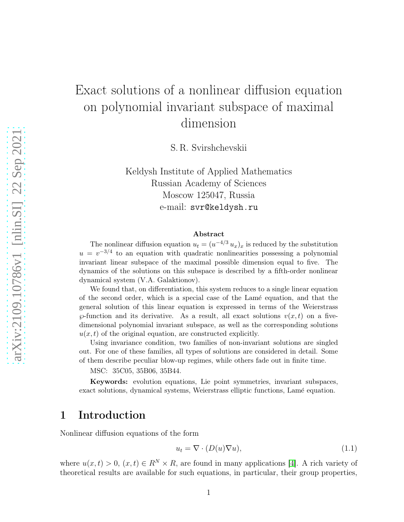# Exact solutions of a nonlinear diffusion equation on polynomial invariant subspace of maximal dimension

S. R. Svirshchevskii

Keldysh Institute of Applied Mathematics Russian Academy of Sciences Moscow 125047, Russia e-mail: svr@keldysh.ru

#### Abstract

The nonlinear diffusion equation  $u_t = (u^{-4/3} u_x)_x$  is reduced by the substitution  $u = v^{-3/4}$  to an equation with quadratic nonlinearities possessing a polynomial invariant linear subspace of the maximal possible dimension equal to five. The dynamics of the solutions on this subspace is described by a fifth-order nonlinear dynamical system (V.A. Galaktionov).

We found that, on differentiation, this system reduces to a single linear equation of the second order, which is a special case of the Lam´e equation, and that the general solution of this linear equation is expressed in terms of the Weierstrass  $\varphi$ -function and its derivative. As a result, all exact solutions  $v(x, t)$  on a fivedimensional polynomial invariant subspace, as well as the corresponding solutions  $u(x, t)$  of the original equation, are constructed explicitly.

Using invariance condition, two families of non-invariant solutions are singled out. For one of these families, all types of solutions are considered in detail. Some of them describe peculiar blow-up regimes, while others fade out in finite time.

MSC: 35C05, 35B06, 35B44.

Keywords: evolution equations, Lie point symmetries, invariant subspaces, exact solutions, dynamical systems, Weierstrass elliptic functions, Lamé equation.

## 1 Introduction

Nonlinear diffusion equations of the form

$$
u_t = \nabla \cdot (D(u)\nabla u),\tag{1.1}
$$

where  $u(x, t) > 0$ ,  $(x, t) \in R^N \times R$ , are found in many applications [\[4\]](#page-24-0). A rich variety of theoretical results are available for such equations, in particular, their group properties,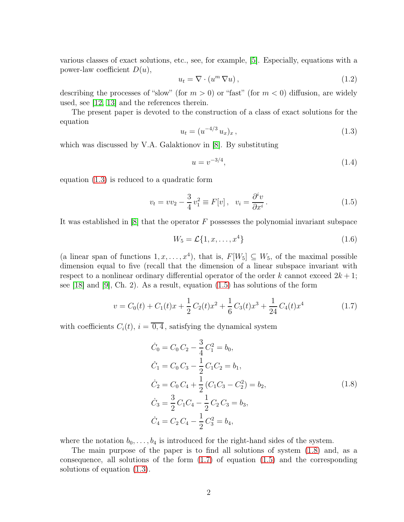various classes of exact solutions, etc., see, for example, [\[5\]](#page-25-0). Especially, equations with a power-law coefficient  $D(u)$ ,

<span id="page-1-4"></span>
$$
u_t = \nabla \cdot (u^m \nabla u), \qquad (1.2)
$$

describing the processes of "slow" (for  $m > 0$ ) or "fast" (for  $m < 0$ ) diffusion, are widely used, see [\[12,](#page-25-1) [13\]](#page-25-2) and the references therein.

The present paper is devoted to the construction of a class of exact solutions for the equation

<span id="page-1-0"></span>
$$
u_t = (u^{-4/3} u_x)_x, \tag{1.3}
$$

which was discussed by V.A. Galaktionov in [\[8\]](#page-25-3). By substituting

<span id="page-1-5"></span>
$$
u = v^{-3/4}, \tag{1.4}
$$

equation [\(1.3\)](#page-1-0) is reduced to a quadratic form

<span id="page-1-1"></span>
$$
v_t = v v_2 - \frac{3}{4} v_1^2 \equiv F[v], \quad v_i = \frac{\partial^i v}{\partial x^i}.
$$
 (1.5)

It was established in  $[8]$  that the operator F possesses the polynomial invariant subspace

<span id="page-1-6"></span>
$$
W_5 = \mathcal{L}\{1, x, \dots, x^4\}
$$
 (1.6)

(a linear span of functions  $1, x, ..., x^4$ ), that is,  $F[W_5] \subseteq W_5$ , of the maximal possible dimension equal to five (recall that the dimension of a linear subspace invariant with respect to a nonlinear ordinary differential operator of the order k cannot exceed  $2k+1$ ; see [\[18\]](#page-25-4) and [\[9\]](#page-25-5), Ch. 2). As a result, equation [\(1.5\)](#page-1-1) has solutions of the form

<span id="page-1-3"></span>
$$
v = C_0(t) + C_1(t)x + \frac{1}{2}C_2(t)x^2 + \frac{1}{6}C_3(t)x^3 + \frac{1}{24}C_4(t)x^4
$$
 (1.7)

with coefficients  $C_i(t)$ ,  $i = \overline{0, 4}$ , satisfying the dynamical system

<span id="page-1-2"></span>
$$
\dot{C}_0 = C_0 C_2 - \frac{3}{4} C_1^2 = b_0,
$$
  
\n
$$
\dot{C}_1 = C_0 C_3 - \frac{1}{2} C_1 C_2 = b_1,
$$
  
\n
$$
\dot{C}_2 = C_0 C_4 + \frac{1}{2} (C_1 C_3 - C_2^2) = b_2,
$$
  
\n
$$
\dot{C}_3 = \frac{3}{2} C_1 C_4 - \frac{1}{2} C_2 C_3 = b_3,
$$
  
\n
$$
\dot{C}_4 = C_2 C_4 - \frac{1}{2} C_3^2 = b_4,
$$
\n(1.8)

where the notation  $b_0, \ldots, b_4$  is introduced for the right-hand sides of the system.

The main purpose of the paper is to find all solutions of system [\(1.8\)](#page-1-2) and, as a consequence, all solutions of the form  $(1.7)$  of equation  $(1.5)$  and the corresponding solutions of equation [\(1.3\)](#page-1-0).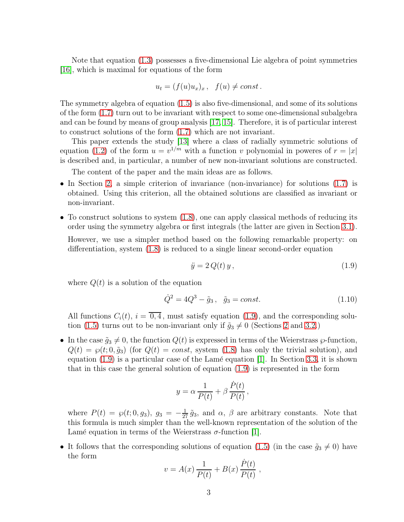Note that equation [\(1.3\)](#page-1-0) possesses a five-dimensional Lie algebra of point symmetries [\[16\]](#page-25-6), which is maximal for equations of the form

$$
u_t = (f(u)u_x)_x, \quad f(u) \ne const.
$$

The symmetry algebra of equation [\(1.5\)](#page-1-1) is also five-dimensional, and some of its solutions of the form [\(1.7\)](#page-1-3) turn out to be invariant with respect to some one-dimensional subalgebra and can be found by means of group analysis [\[17,](#page-25-7) [15\]](#page-25-8). Therefore, it is of particular interest to construct solutions of the form [\(1.7\)](#page-1-3) which are not invariant.

This paper extends the study [\[13\]](#page-25-2) where a class of radially symmetric solutions of equation [\(1.2\)](#page-1-4) of the form  $u = v^{1/m}$  with a function v polynomial in poweres of  $r = |x|$ is described and, in particular, a number of new non-invariant solutions are constructed.

The content of the paper and the main ideas are as follows.

- In Section [2,](#page-4-0) a simple criterion of invariance (non-invariance) for solutions [\(1.7\)](#page-1-3) is obtained. Using this criterion, all the obtained solutions are classified as invariant or non-invariant.
- To construct solutions to system  $(1.8)$ , one can apply classical methods of reducing its order using the symmetry algebra or first integrals (the latter are given in Section [3.1\)](#page-5-0). However, we use a simpler method based on the following remarkable property: on differentiation, system [\(1.8\)](#page-1-2) is reduced to a single linear second-order equation

<span id="page-2-0"></span>
$$
\ddot{y} = 2Q(t)y, \qquad (1.9)
$$

where  $Q(t)$  is a solution of the equation

$$
\dot{Q}^2 = 4Q^3 - \tilde{g}_3, \quad \tilde{g}_3 = const.
$$
\n(1.10)

All functions  $C_i(t)$ ,  $i = \overline{0, 4}$ , must satisfy equation [\(1.9\)](#page-2-0), and the corresponding solu-tion [\(1.5\)](#page-1-1) turns out to be non-invariant only if  $\tilde{g}_3 \neq 0$  (Sections [2](#page-4-0) and [3.2.](#page-6-0))

• In the case  $\tilde{g}_3 \neq 0$ , the function  $Q(t)$  is expressed in terms of the Weierstrass  $\wp$ -function,  $Q(t) = \wp(t; 0, \tilde{g}_3)$  (for  $Q(t) = const$ , system [\(1.8\)](#page-1-2) has only the trivial solution), and equation  $(1.9)$  is a particular case of the Lamé equation [\[1\]](#page-24-1). In Section [3.3,](#page-6-1) it is shown that in this case the general solution of equation [\(1.9\)](#page-2-0) is represented in the form

$$
y = \alpha \frac{1}{P(t)} + \beta \frac{\dot{P}(t)}{P(t)},
$$

where  $P(t) = \wp(t; 0, g_3)$ ,  $g_3 = -\frac{1}{27} \tilde{g}_3$ , and  $\alpha$ ,  $\beta$  are arbitrary constants. Note that this formula is much simpler than the well-known representation of the solution of the Lamé equation in terms of the Weierstrass  $\sigma$ -function [\[1\]](#page-24-1).

• It follows that the corresponding solutions of equation [\(1.5\)](#page-1-1) (in the case  $\tilde{g}_3 \neq 0$ ) have the form

$$
v = A(x) \frac{1}{P(t)} + B(x) \frac{\dot{P}(t)}{P(t)},
$$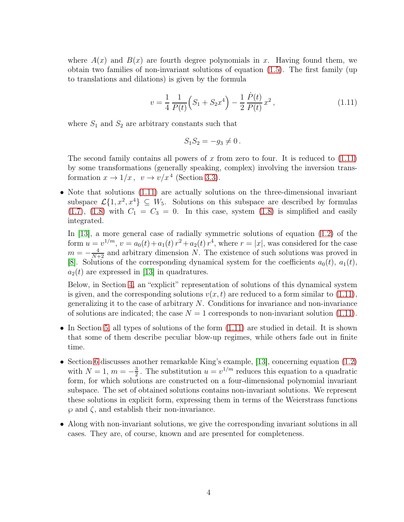where  $A(x)$  and  $B(x)$  are fourth degree polynomials in x. Having found them, we obtain two families of non-invariant solutions of equation [\(1.5\)](#page-1-1). The first family (up to translations and dilations) is given by the formula

<span id="page-3-0"></span>
$$
v = \frac{1}{4} \frac{1}{P(t)} \left( S_1 + S_2 x^4 \right) - \frac{1}{2} \frac{\dot{P}(t)}{P(t)} x^2 , \qquad (1.11)
$$

where  $S_1$  and  $S_2$  are arbitrary constants such that

$$
S_1 S_2 = -g_3 \neq 0.
$$

The second family contains all powers of x from zero to four. It is reduced to  $(1.11)$ by some transformations (generally speaking, complex) involving the inversion transformation  $x \to 1/x$ ,  $v \to v/x^4$  (Section [3.3\)](#page-6-1).

• Note that solutions [\(1.11\)](#page-3-0) are actually solutions on the three-dimensional invariant subspace  $\mathcal{L}\{1, x^2, x^4\} \subseteq W_5$ . Solutions on this subspace are described by formulas  $(1.7)$ ,  $(1.8)$  with  $C_1 = C_3 = 0$ . In this case, system  $(1.8)$  is simplified and easily integrated.

In [\[13\]](#page-25-2), a more general case of radially symmetric solutions of equation [\(1.2\)](#page-1-4) of the form  $u = v^{1/m}$ ,  $v = a_0(t) + a_1(t) r^2 + a_2(t) r^4$ , where  $r = |x|$ , was considered for the case  $m = -\frac{4}{N+2}$  and arbitrary dimension N. The existence of such solutions was proved in [\[8\]](#page-25-3). Solutions of the corresponding dynamical system for the coefficients  $a_0(t)$ ,  $a_1(t)$ ,  $a_2(t)$  are expressed in [\[13\]](#page-25-2) in quadratures.

Below, in Section [4,](#page-11-0) an "explicit" representation of solutions of this dynamical system is given, and the corresponding solutions  $v(x, t)$  are reduced to a form similar to [\(1.11\)](#page-3-0), generalizing it to the case of arbitrary N. Conditions for invariance and non-invariance of solutions are indicated; the case  $N = 1$  corresponds to non-invariant solution [\(1.11\)](#page-3-0).

- In Section [5,](#page-15-0) all types of solutions of the form  $(1.11)$  are studied in detail. It is shown that some of them describe peculiar blow-up regimes, while others fade out in finite time.
- Section [6](#page-20-0) discusses another remarkable King's example, [\[13\]](#page-25-2), concerning equation [\(1.2\)](#page-1-4) with  $N = 1, m = -\frac{3}{2}$  $\frac{3}{2}$ . The substitution  $u = v^{1/m}$  reduces this equation to a quadratic form, for which solutions are constructed on a four-dimensional polynomial invariant subspace. The set of obtained solutions contains non-invariant solutions. We represent these solutions in explicit form, expressing them in terms of the Weierstrass functions  $\wp$  and  $\zeta$ , and establish their non-invariance.
- Along with non-invariant solutions, we give the corresponding invariant solutions in all cases. They are, of course, known and are presented for completeness.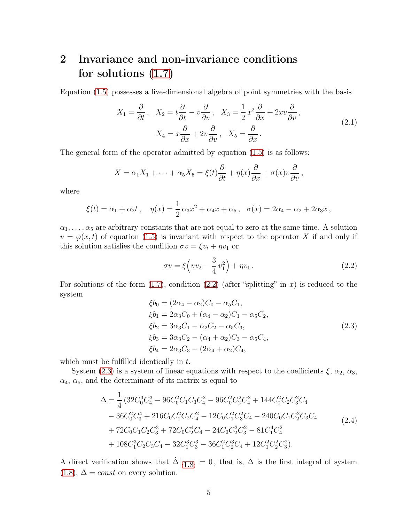## <span id="page-4-0"></span>2 Invariance and non-invariance conditions for solutions [\(1.7\)](#page-1-3)

Equation [\(1.5\)](#page-1-1) possesses a five-dimensional algebra of point symmetries with the basis

<span id="page-4-4"></span>
$$
X_1 = \frac{\partial}{\partial t}, \quad X_2 = t\frac{\partial}{\partial t} - v\frac{\partial}{\partial v}, \quad X_3 = \frac{1}{2}x^2\frac{\partial}{\partial x} + 2xv\frac{\partial}{\partial v},
$$
  

$$
X_4 = x\frac{\partial}{\partial x} + 2v\frac{\partial}{\partial v}, \quad X_5 = \frac{\partial}{\partial x}.
$$
 (2.1)

The general form of the operator admitted by equation [\(1.5\)](#page-1-1) is as follows:

$$
X = \alpha_1 X_1 + \dots + \alpha_5 X_5 = \xi(t) \frac{\partial}{\partial t} + \eta(x) \frac{\partial}{\partial x} + \sigma(x) v \frac{\partial}{\partial v},
$$

where

$$
\xi(t) = \alpha_1 + \alpha_2 t
$$
,  $\eta(x) = \frac{1}{2} \alpha_3 x^2 + \alpha_4 x + \alpha_5$ ,  $\sigma(x) = 2\alpha_4 - \alpha_2 + 2\alpha_3 x$ ,

 $\alpha_1, \ldots, \alpha_5$  are arbitrary constants that are not equal to zero at the same time. A solution  $v = \varphi(x, t)$  of equation [\(1.5\)](#page-1-1) is invariant with respect to the operator X if and only if this solution satisfies the condition  $\sigma v = \xi v_t + \eta v_1$  or

<span id="page-4-1"></span>
$$
\sigma v = \xi \left( v v_2 - \frac{3}{4} v_1^2 \right) + \eta v_1 \,. \tag{2.2}
$$

For solutions of the form  $(1.7)$ , condition  $(2.2)$  (after "splitting" in x) is reduced to the system

<span id="page-4-2"></span>
$$
\xi b_0 = (2\alpha_4 - \alpha_2)C_0 - \alpha_5 C_1,\n\xi b_1 = 2\alpha_3 C_0 + (\alpha_4 - \alpha_2)C_1 - \alpha_5 C_2,\n\xi b_2 = 3\alpha_3 C_1 - \alpha_2 C_2 - \alpha_5 C_3,\n\xi b_3 = 3\alpha_3 C_2 - (\alpha_4 + \alpha_2)C_3 - \alpha_5 C_4,\n\xi b_4 = 2\alpha_3 C_3 - (2\alpha_4 + \alpha_2)C_4,
$$
\n(2.3)

which must be fulfilled identically in  $t$ .

System [\(2.3\)](#page-4-2) is a system of linear equations with respect to the coefficients  $\xi$ ,  $\alpha_2$ ,  $\alpha_3$ ,  $\alpha_4$ ,  $\alpha_5$ , and the determinant of its matrix is equal to

<span id="page-4-3"></span>
$$
\Delta = \frac{1}{4} \left( 32 C_0^3 C_4^3 - 96 C_0^2 C_1 C_3 C_4^2 - 96 C_0^2 C_2^2 C_4^2 + 144 C_0^2 C_2 C_3^2 C_4 \right. \\
\left. - 36 C_0^2 C_3^4 + 216 C_0 C_1^2 C_2 C_4^2 - 12 C_0 C_1^2 C_3^2 C_4 - 240 C_0 C_1 C_2^2 C_3 C_4 \right. \\
\left. + 72 C_0 C_1 C_2 C_3^3 + 72 C_0 C_2^4 C_4 - 24 C_0 C_2^3 C_3^2 - 81 C_1^4 C_4^2 \right. \\
\left. + 108 C_1^3 C_2 C_3 C_4 - 32 C_1^3 C_3^3 - 36 C_1^2 C_2^3 C_4 + 12 C_1^2 C_2^2 C_3^2 \right).
$$
\n
$$
(2.4)
$$

A direct verification shows that  $\dot{\Delta}|_{(1.8)} = 0$  $\dot{\Delta}|_{(1.8)} = 0$  $\dot{\Delta}|_{(1.8)} = 0$ , that is,  $\Delta$  is the first integral of system  $(1.8), \Delta = const$  $(1.8), \Delta = const$  on every solution.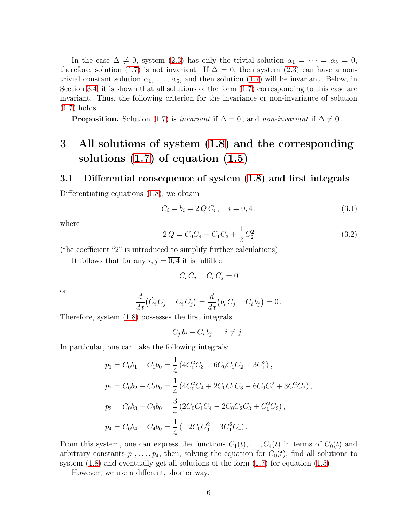In the case  $\Delta \neq 0$ , system [\(2.3\)](#page-4-2) has only the trivial solution  $\alpha_1 = \cdots = \alpha_5 = 0$ , therefore, solution [\(1.7\)](#page-1-3) is not invariant. If  $\Delta = 0$ , then system [\(2.3\)](#page-4-2) can have a nontrivial constant solution  $\alpha_1, \ldots, \alpha_5$ , and then solution [\(1.7\)](#page-1-3) will be invariant. Below, in Section [3.4,](#page-10-0) it is shown that all solutions of the form [\(1.7\)](#page-1-3) corresponding to this case are invariant. Thus, the following criterion for the invariance or non-invariance of solution [\(1.7\)](#page-1-3) holds.

**Proposition.** Solution [\(1.7\)](#page-1-3) is *invariant* if  $\Delta = 0$ , and *non-invariant* if  $\Delta \neq 0$ .

## 3 All solutions of system [\(1.8\)](#page-1-2) and the corresponding solutions [\(1.7\)](#page-1-3) of equation [\(1.5\)](#page-1-1)

#### <span id="page-5-0"></span>3.1 Differential consequence of system [\(1.8\)](#page-1-2) and first integrals

Differentiating equations [\(1.8\)](#page-1-2), we obtain

<span id="page-5-2"></span>
$$
\ddot{C}_i = \dot{b}_i = 2 Q C_i, \quad i = \overline{0, 4}, \tag{3.1}
$$

where

<span id="page-5-1"></span>
$$
2Q = C_0 C_4 - C_1 C_3 + \frac{1}{2} C_2^2 \tag{3.2}
$$

(the coefficient "2" is introduced to simplify further calculations).

It follows that for any  $i, j = \overline{0, 4}$  it is fulfilled

$$
\ddot{C}_i C_j - C_i \ddot{C}_j = 0
$$

or

$$
\frac{d}{dt}(\dot{C}_i C_j - C_i \dot{C}_j) = \frac{d}{dt}(b_i C_j - C_i b_j) = 0.
$$

Therefore, system [\(1.8\)](#page-1-2) possesses the first integrals

 $C_j b_i - C_i b_j, \quad i \neq j.$ 

In particular, one can take the following integrals:

$$
p_1 = C_0b_1 - C_1b_0 = \frac{1}{4} \left( 4C_0^2C_3 - 6C_0C_1C_2 + 3C_1^3 \right),
$$
  
\n
$$
p_2 = C_0b_2 - C_2b_0 = \frac{1}{4} \left( 4C_0^2C_4 + 2C_0C_1C_3 - 6C_0C_2^2 + 3C_1^2C_2 \right),
$$
  
\n
$$
p_3 = C_0b_3 - C_3b_0 = \frac{3}{4} \left( 2C_0C_1C_4 - 2C_0C_2C_3 + C_1^2C_3 \right),
$$
  
\n
$$
p_4 = C_0b_4 - C_4b_0 = \frac{1}{4} \left( -2C_0C_3^2 + 3C_1^2C_4 \right).
$$

From this system, one can express the functions  $C_1(t), \ldots, C_4(t)$  in terms of  $C_0(t)$  and arbitrary constants  $p_1, \ldots, p_4$ , then, solving the equation for  $C_0(t)$ , find all solutions to system  $(1.8)$  and eventually get all solutions of the form  $(1.7)$  for equation  $(1.5)$ .

However, we use a different, shorter way.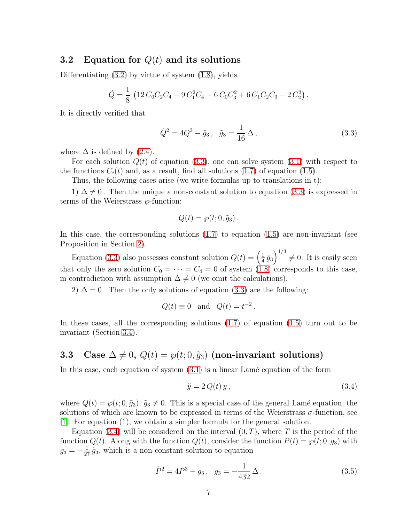#### <span id="page-6-0"></span>3.2 Equation for  $Q(t)$  and its solutions

Differentiating  $(3.2)$  by virtue of system  $(1.8)$ , yields

$$
\dot{Q} = \frac{1}{8} \left( 12 C_0 C_2 C_4 - 9 C_1^2 C_4 - 6 C_0 C_3^2 + 6 C_1 C_2 C_3 - 2 C_2^3 \right).
$$

It is directly verified that

<span id="page-6-2"></span>
$$
\dot{Q}^2 = 4Q^3 - \tilde{g}_3, \quad \tilde{g}_3 = \frac{1}{16}\,\Delta\,,\tag{3.3}
$$

where  $\Delta$  is defined by [\(2.4\)](#page-4-3).

For each solution  $Q(t)$  of equation [\(3.3\)](#page-6-2), one can solve system [\(3.1\)](#page-5-2) with respect to the functions  $C_i(t)$  and, as a result, find all solutions [\(1.7\)](#page-1-3) of equation [\(1.5\)](#page-1-1).

Thus, the following cases arise (we write formulas up to translations in t):

1)  $\Delta \neq 0$ . Then the unique a non-constant solution to equation [\(3.3\)](#page-6-2) is expressed in terms of the Weierstrass  $\wp$ -function:

$$
Q(t) = \wp(t; 0, \tilde{g}_3).
$$

In this case, the corresponding solutions  $(1.7)$  to equation  $(1.5)$  are non-invariant (see Proposition in Section [2\)](#page-4-0).

Equation [\(3.3\)](#page-6-2) also possesses constant solution  $Q(t) = \left(\frac{1}{4}\right)$  $\frac{1}{4}\tilde{g}_3\right)^{1/3} \neq 0$ . It is easily seen that only the zero solution  $C_0 = \cdots = C_4 = 0$  of system [\(1.8\)](#page-1-2) corresponds to this case, in contradiction with assumption  $\Delta \neq 0$  (we omit the calculations).

2)  $\Delta = 0$ . Then the only solutions of equation [\(3.3\)](#page-6-2) are the following:

$$
Q(t) \equiv 0 \quad \text{and} \quad Q(t) = t^{-2}.
$$

In these cases, all the corresponding solutions [\(1.7\)](#page-1-3) of equation [\(1.5\)](#page-1-1) turn out to be invariant (Section [3.4\)](#page-10-0).

### <span id="page-6-1"></span>3.3 Case  $\Delta \neq 0$ ,  $Q(t) = \wp(t; 0, \tilde{q}_3)$  (non-invariant solutions)

In this case, each equation of system  $(3.1)$  is a linear Lamé equation of the form

<span id="page-6-3"></span>
$$
\ddot{y} = 2Q(t)y, \tag{3.4}
$$

where  $Q(t) = \wp(t; 0, \tilde{g}_3)$ ,  $\tilde{g}_3 \neq 0$ . This is a special case of the general Lamé equation, the solutions of which are known to be expressed in terms of the Weierstrass  $\sigma$ -function, see [\[1\]](#page-24-1). For equation (1), we obtain a simpler formula for the general solution.

Equation [\(3.4\)](#page-6-3) will be considered on the interval  $(0, T)$ , where T is the period of the function  $Q(t)$ . Along with the function  $Q(t)$ , consider the function  $P(t) = \wp(t; 0, g_3)$  with  $g_3 = -\frac{1}{27} \tilde{g}_3$ , which is a non-constant solution to equation

<span id="page-6-4"></span>
$$
\dot{P}^2 = 4P^3 - g_3 \,, \quad g_3 = -\frac{1}{432} \,\Delta \,. \tag{3.5}
$$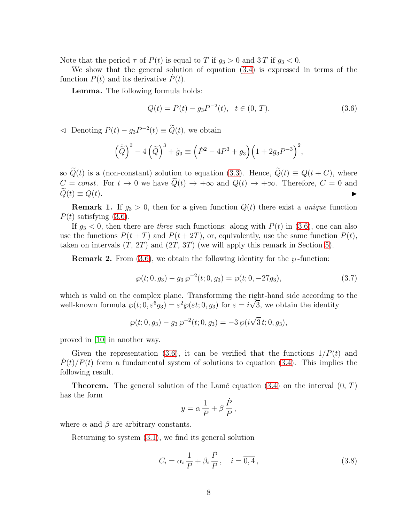Note that the period  $\tau$  of  $P(t)$  is equal to T if  $g_3 > 0$  and 3T if  $g_3 < 0$ .

We show that the general solution of equation [\(3.4\)](#page-6-3) is expressed in terms of the function  $P(t)$  and its derivative  $P(t)$ .

Lemma. The following formula holds:

<span id="page-7-0"></span>
$$
Q(t) = P(t) - g_3 P^{-2}(t), \quad t \in (0, T). \tag{3.6}
$$

 $\triangleleft$  Denoting  $P(t) - g_3 P^{-2}(t) \equiv \tilde{Q}(t)$ , we obtain

$$
\left(\tilde{Q}\right)^2 - 4\left(\tilde{Q}\right)^3 + \tilde{g}_3 \equiv \left(\dot{P}^2 - 4P^3 + g_3\right)\left(1 + 2g_3P^{-3}\right)^2,
$$

so  $\widetilde{Q}(t)$  is a (non-constant) solution to equation [\(3.3\)](#page-6-2). Hence,  $\widetilde{Q}(t) \equiv Q(t+C)$ , where  $C = const.$  For  $t \to 0$  we have  $\widetilde{Q}(t) \to +\infty$  and  $Q(t) \to +\infty$ . Therefore,  $C = 0$  and  $\widetilde{Q}(t) \equiv Q(t)$ .  $\widetilde{Q}(t) \equiv Q(t).$ 

**Remark 1.** If  $q_3 > 0$ , then for a given function  $Q(t)$  there exist a *unique* function  $P(t)$  satisfying  $(3.6)$ .

If  $g_3 < 0$ , then there are three such functions: along with  $P(t)$  in [\(3.6\)](#page-7-0), one can also use the functions  $P(t+T)$  and  $P(t+2T)$ , or, equivalently, use the same function  $P(t)$ , taken on intervals  $(T, 2T)$  and  $(2T, 3T)$  (we will apply this remark in Section [5\)](#page-15-0).

**Remark 2.** From [\(3.6\)](#page-7-0), we obtain the following identity for the  $\wp$ -function:

$$
\wp(t;0,g_3) - g_3 \wp^{-2}(t;0,g_3) = \wp(t;0,-27g_3),\tag{3.7}
$$

which is valid on the complex plane. Transforming the right-hand side according to the well-known formula  $\wp(t; 0, \varepsilon^6 g_3) = \varepsilon^2 \wp(\varepsilon t; 0, g_3)$  for  $\varepsilon = i\sqrt{3}$ , we obtain the identity

$$
\wp(t; 0, g_3) - g_3 \, \wp^{-2}(t; 0, g_3) = -3 \, \wp(i\sqrt{3} \, t; 0, g_3),
$$

proved in [\[10\]](#page-25-9) in another way.

Given the representation [\(3.6\)](#page-7-0), it can be verified that the functions  $1/P(t)$  and  $P(t)/P(t)$  form a fundamental system of solutions to equation [\(3.4\)](#page-6-3). This implies the following result.

**Theorem.** The general solution of the Lamé equation [\(3.4\)](#page-6-3) on the interval  $(0, T)$ has the form

$$
y = \alpha \frac{1}{P} + \beta \frac{\dot{P}}{P},
$$

where  $\alpha$  and  $\beta$  are arbitrary constants.

Returning to system [\(3.1\)](#page-5-2), we find its general solution

<span id="page-7-1"></span>
$$
C_i = \alpha_i \frac{1}{P} + \beta_i \frac{\dot{P}}{P}, \quad i = \overline{0, 4}, \tag{3.8}
$$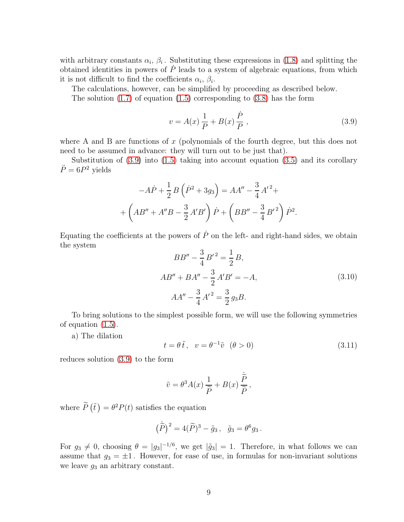with arbitrary constants  $\alpha_i$ ,  $\beta_i$ . Substituting these expressions in [\(1.8\)](#page-1-2) and splitting the obtained identities in powers of  $\dot{P}$  leads to a system of algebraic equations, from which it is not difficult to find the coefficients  $\alpha_i$ ,  $\beta_i$ .

The calculations, however, can be simplified by proceeding as described below.

The solution  $(1.7)$  of equation  $(1.5)$  corresponding to  $(3.8)$  has the form

<span id="page-8-0"></span>
$$
v = A(x)\frac{1}{P} + B(x)\frac{\dot{P}}{P},
$$
\n(3.9)

where A and B are functions of  $x$  (polynomials of the fourth degree, but this does not need to be assumed in advance: they will turn out to be just that).

Substitution of  $(3.9)$  into  $(1.5)$  taking into account equation  $(3.5)$  and its corollary  $\ddot{P} = 6P^2$  yields

$$
-A\dot{P} + \frac{1}{2}B(\dot{P}^2 + 3g_3) = AA'' - \frac{3}{4}A'^2 +
$$

$$
+ \left(AB'' + A''B - \frac{3}{2}A'B'\right)\dot{P} + \left(BB'' - \frac{3}{4}B'^2\right)\dot{P}^2.
$$

Equating the coefficients at the powers of  $\dot{P}$  on the left- and right-hand sides, we obtain the system

<span id="page-8-1"></span>
$$
BB'' - \frac{3}{4}B'^2 = \frac{1}{2}B,
$$
  
\n
$$
AB'' + BA'' - \frac{3}{2}A'B' = -A,
$$
  
\n
$$
AA'' - \frac{3}{4}A'^2 = \frac{3}{2}g_3B.
$$
\n(3.10)

To bring solutions to the simplest possible form, we will use the following symmetries of equation [\(1.5\)](#page-1-1).

a) The dilation

<span id="page-8-2"></span>
$$
t = \theta \tilde{t}, \quad v = \theta^{-1} \tilde{v} \quad (\theta > 0)
$$
\n
$$
(3.11)
$$

reduces solution [\(3.9\)](#page-8-0) to the form

$$
\tilde{v} = \theta^3 A(x) \frac{1}{\tilde{P}} + B(x) \frac{\dot{\tilde{P}}}{\tilde{P}},
$$

where  $\widetilde{P}(\tilde{t}) = \theta^2 P(t)$  satisfies the equation

$$
(\tilde{P})^2 = 4(\tilde{P})^3 - \tilde{g}_3, \quad \tilde{g}_3 = \theta^6 g_3.
$$

For  $g_3 \neq 0$ , choosing  $\theta = |g_3|^{-1/6}$ , we get  $|\tilde{g}_3| = 1$ . Therefore, in what follows we can assume that  $g_3 = \pm 1$ . However, for ease of use, in formulas for non-invariant solutions we leave  $g_3$  an arbitrary constant.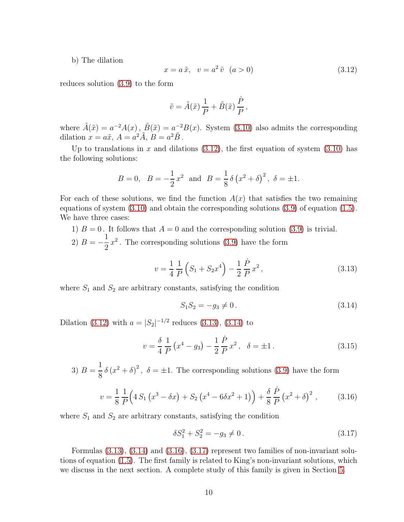b) The dilation

<span id="page-9-0"></span>
$$
x = a\tilde{x}, \quad v = a^2 \tilde{v} \quad (a > 0) \tag{3.12}
$$

reduces solution [\(3.9\)](#page-8-0) to the form

$$
\tilde{v} = \tilde{A}(\tilde{x}) \frac{1}{P} + \tilde{B}(\tilde{x}) \frac{\dot{P}}{P},
$$

where  $\tilde{A}(\tilde{x}) = a^{-2}A(x)$ ,  $\tilde{B}(\tilde{x}) = a^{-2}B(x)$ . System [\(3.10\)](#page-8-1) also admits the corresponding dilation  $x = a\tilde{x}$ ,  $A = a^2 \tilde{A}$ ,  $B = a^2 \tilde{B}$ .

Up to translations in x and dilations  $(3.12)$ , the first equation of system  $(3.10)$  has the following solutions:

$$
B = 0
$$
,  $B = -\frac{1}{2}x^2$  and  $B = \frac{1}{8}\delta(x^2 + \delta)^2$ ,  $\delta = \pm 1$ .

For each of these solutions, we find the function  $A(x)$  that satisfies the two remaining equations of system [\(3.10\)](#page-8-1) and obtain the corresponding solutions [\(3.9\)](#page-8-0) of equation [\(1.5\)](#page-1-1). We have three cases:

1)  $B = 0$ . It follows that  $A = 0$  and the corresponding solution [\(3.9\)](#page-8-0) is trivial. 2)  $B = -$ 1 2  $x^2$ . The corresponding solutions [\(3.9\)](#page-8-0) have the form

<span id="page-9-1"></span>
$$
v = \frac{1}{4} \frac{1}{P} \left( S_1 + S_2 x^4 \right) - \frac{1}{2} \frac{\dot{P}}{P} x^2, \qquad (3.13)
$$

where  $S_1$  and  $S_2$  are arbitrary constants, satisfying the condition

<span id="page-9-2"></span>
$$
S_1 S_2 = -g_3 \neq 0. \tag{3.14}
$$

Dilation [\(3.12\)](#page-9-0) with  $a = |S_2|^{-1/2}$  reduces [\(3.13\)](#page-9-1), [\(3.14\)](#page-9-2) to

<span id="page-9-5"></span>
$$
v = \frac{\delta}{4} \frac{1}{P} \left( x^4 - g_3 \right) - \frac{1}{2} \frac{\dot{P}}{P} x^2, \quad \delta = \pm 1. \tag{3.15}
$$

3)  $B =$ 1 8  $\delta (x^2 + \delta)^2$ ,  $\delta = \pm 1$ . The corresponding solutions [\(3.9\)](#page-8-0) have the form

<span id="page-9-3"></span>
$$
v = \frac{1}{8} \frac{1}{P} \Big( 4 S_1 \left( x^3 - \delta x \right) + S_2 \left( x^4 - 6 \delta x^2 + 1 \right) \Big) + \frac{\delta}{8} \frac{\dot{P}}{P} \left( x^2 + \delta \right)^2 , \tag{3.16}
$$

where  $S_1$  and  $S_2$  are arbitrary constants, satisfying the condition

<span id="page-9-4"></span>
$$
\delta S_1^2 + S_2^2 = -g_3 \neq 0. \tag{3.17}
$$

Formulas  $(3.13)$ ,  $(3.14)$  and  $(3.16)$ ,  $(3.17)$  represent two families of non-invariant solutions of equation [\(1.5\)](#page-1-1). The first family is related to King's non-invariant solutions, which we discuss in the next section. A complete study of this family is given in Section [5.](#page-15-0)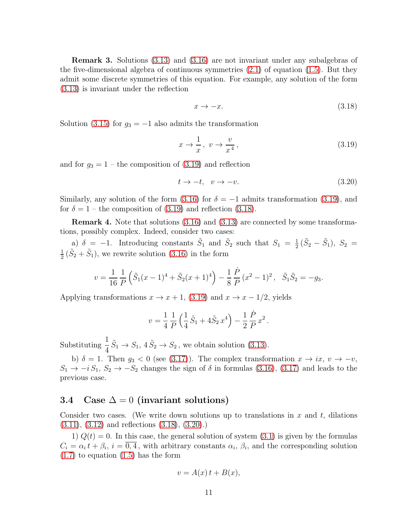Remark 3. Solutions [\(3.13\)](#page-9-1) and [\(3.16\)](#page-9-3) are not invariant under any subalgebras of the five-dimensional algebra of continuous symmetries [\(2.1\)](#page-4-4) of equation [\(1.5\)](#page-1-1). But they admit some discrete symmetries of this equation. For example, any solution of the form [\(3.13\)](#page-9-1) is invariant under the reflection

<span id="page-10-2"></span>
$$
x \to -x. \tag{3.18}
$$

Solution [\(3.15\)](#page-9-5) for  $g_3 = -1$  also admits the transformation

<span id="page-10-1"></span>
$$
x \to \frac{1}{x}, \ v \to \frac{v}{x^4}, \tag{3.19}
$$

and for  $g_3 = 1$  – the composition of [\(3.19\)](#page-10-1) and reflection

<span id="page-10-3"></span>
$$
t \to -t, \quad v \to -v. \tag{3.20}
$$

Similarly, any solution of the form [\(3.16\)](#page-9-3) for  $\delta = -1$  admits transformation [\(3.19\)](#page-10-1), and for  $\delta = 1$  – the composition of [\(3.19\)](#page-10-1) and reflection [\(3.18\)](#page-10-2).

Remark 4. Note that solutions [\(3.16\)](#page-9-3) and [\(3.13\)](#page-9-1) are connected by some transformations, possibly complex. Indeed, consider two cases:

a)  $\delta = -1$ . Introducing constants  $\tilde{S}_1$  and  $\tilde{S}_2$  such that  $S_1 = \frac{1}{2}$  $\frac{1}{2}(\tilde{S}_2 - \tilde{S}_1), S_2 =$ 1  $\frac{1}{2}(\tilde{S}_2 + \tilde{S}_1)$ , we rewrite solution [\(3.16\)](#page-9-3) in the form

$$
v = \frac{1}{16} \frac{1}{P} \left( \tilde{S}_1 (x - 1)^4 + \tilde{S}_2 (x + 1)^4 \right) - \frac{1}{8} \frac{\dot{P}}{P} (x^2 - 1)^2, \quad \tilde{S}_1 \tilde{S}_2 = -g_3.
$$

Applying transformations  $x \to x + 1$ , [\(3.19\)](#page-10-1) and  $x \to x - 1/2$ , yields

$$
v = \frac{1}{4} \frac{1}{P} \left( \frac{1}{4} \tilde{S}_1 + 4 \tilde{S}_2 x^4 \right) - \frac{1}{2} \frac{\dot{P}}{P} x^2.
$$

Substituting  $\frac{1}{4}$ 4  $\tilde{S}_1 \rightarrow S_1$ ,  $4\tilde{S}_2 \rightarrow S_2$ , we obtain solution [\(3.13\)](#page-9-1).

b)  $\delta = 1$ . Then  $g_3 < 0$  (see [\(3.17\)](#page-9-4)). The complex transformation  $x \to ix, v \to -v$ ,  $S_1 \rightarrow -i S_1, S_2 \rightarrow -S_2$  changes the sign of  $\delta$  in formulas [\(3.16\)](#page-9-3), [\(3.17\)](#page-9-4) and leads to the previous case.

#### <span id="page-10-0"></span>3.4 Case  $\Delta = 0$  (invariant solutions)

Consider two cases. (We write down solutions up to translations in  $x$  and  $t$ , dilations [\(3.11\)](#page-8-2), [\(3.12\)](#page-9-0) and reflections [\(3.18\)](#page-10-2), [\(3.20\)](#page-10-3).)

1)  $Q(t) = 0$ . In this case, the general solution of system [\(3.1\)](#page-5-2) is given by the formulas  $C_i = \alpha_i t + \beta_i$ ,  $i = \overline{0, 4}$ , with arbitrary constants  $\alpha_i$ ,  $\beta_i$ , and the corresponding solution  $(1.7)$  to equation  $(1.5)$  has the form

$$
v = A(x) t + B(x),
$$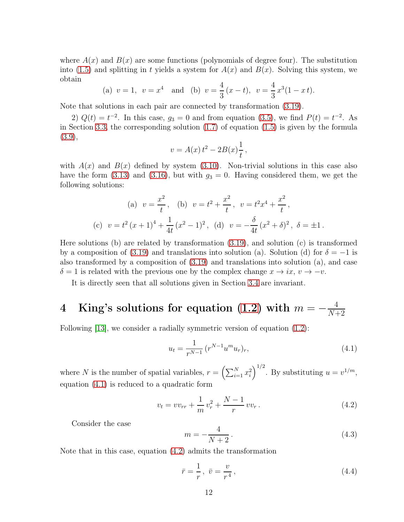where  $A(x)$  and  $B(x)$  are some functions (polynomials of degree four). The substitution into [\(1.5\)](#page-1-1) and splitting in t yields a system for  $A(x)$  and  $B(x)$ . Solving this system, we obtain

(a) 
$$
v = 1
$$
,  $v = x^4$  and (b)  $v = \frac{4}{3}(x - t)$ ,  $v = \frac{4}{3}x^3(1 - x t)$ .

Note that solutions in each pair are connected by transformation [\(3.19\)](#page-10-1).

2)  $Q(t) = t^{-2}$ . In this case,  $g_3 = 0$  and from equation [\(3.5\)](#page-6-4), we find  $P(t) = t^{-2}$ . As in Section [3.3,](#page-6-1) the corresponding solution [\(1.7\)](#page-1-3) of equation [\(1.5\)](#page-1-1) is given by the formula [\(3.9\)](#page-8-0),

$$
v = A(x) t^2 - 2B(x) \frac{1}{t},
$$

with  $A(x)$  and  $B(x)$  defined by system [\(3.10\)](#page-8-1). Non-trivial solutions in this case also have the form [\(3.13\)](#page-9-1) and [\(3.16\)](#page-9-3), but with  $g_3 = 0$ . Having considered them, we get the following solutions:

(a) 
$$
v = \frac{x^2}{t}
$$
, (b)  $v = t^2 + \frac{x^2}{t}$ ,  $v = t^2x^4 + \frac{x^2}{t}$ ,  
(c)  $v = t^2(x+1)^4 + \frac{1}{4t}(x^2-1)^2$ , (d)  $v = -\frac{\delta}{4t}(x^2+\delta)^2$ ,  $\delta = \pm 1$ .

Here solutions (b) are related by transformation  $(3.19)$ , and solution (c) is transformed by a composition of [\(3.19\)](#page-10-1) and translations into solution (a). Solution (d) for  $\delta = -1$  is also transformed by a composition of [\(3.19\)](#page-10-1) and translations into solution (a), and case  $\delta = 1$  is related with the previous one by the complex change  $x \to ix$ ,  $v \to -v$ .

It is directly seen that all solutions given in Section [3.4](#page-10-0) are invariant.

#### <span id="page-11-0"></span> $4$  King's solutions for equation [\(1.2\)](#page-1-4) with  $m=-\frac{4}{N+4}$  $N+2$

Following [\[13\]](#page-25-2), we consider a radially symmetric version of equation  $(1.2)$ :

<span id="page-11-1"></span>
$$
u_t = \frac{1}{r^{N-1}} \left( r^{N-1} u^m u_r \right)_r,\tag{4.1}
$$

where N is the number of spatial variables,  $r = \left(\sum_{i=1}^{N} x_i^2\right)$  $\int^{1/2}$ . By substituting  $u = v^{1/m}$ , equation [\(4.1\)](#page-11-1) is reduced to a quadratic form

<span id="page-11-2"></span>
$$
v_t = v v_{rr} + \frac{1}{m} v_r^2 + \frac{N-1}{r} v v_r. \tag{4.2}
$$

Consider the case

<span id="page-11-3"></span>
$$
m = -\frac{4}{N+2}.\tag{4.3}
$$

Note that in this case, equation [\(4.2\)](#page-11-2) admits the transformation

<span id="page-11-4"></span>
$$
\bar{r} = \frac{1}{r}, \quad \bar{v} = \frac{v}{r^4},\tag{4.4}
$$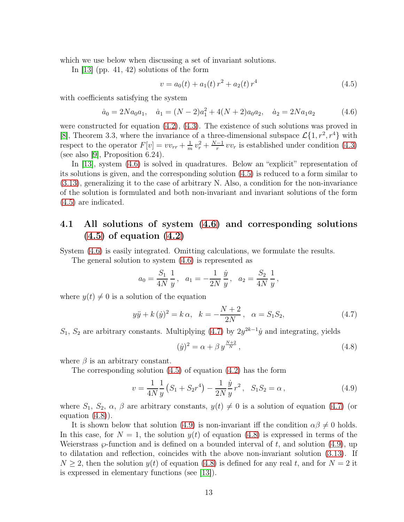which we use below when discussing a set of invariant solutions.

In [\[13\]](#page-25-2) (pp. 41, 42) solutions of the form

<span id="page-12-1"></span>
$$
v = a_0(t) + a_1(t) r^2 + a_2(t) r^4
$$
\n(4.5)

with coefficients satisfying the system

<span id="page-12-0"></span>
$$
\dot{a}_0 = 2Na_0a_1, \quad \dot{a}_1 = (N-2)a_1^2 + 4(N+2)a_0a_2, \quad \dot{a}_2 = 2Na_1a_2 \tag{4.6}
$$

were constructed for equation  $(4.2)$ ,  $(4.3)$ . The existence of such solutions was proved in [\[8\]](#page-25-3), Theorem 3.3, where the invariance of a three-dimensional subspace  $\mathcal{L}\{1, r^2, r^4\}$  with respect to the operator  $F[v] = v v_{rr} + \frac{1}{m}$  $\frac{1}{m}v_r^2 + \frac{N-1}{r}$  $\frac{-1}{r}vv_r$  is established under condition [\(4.3\)](#page-11-3) (see also [\[9\]](#page-25-5), Proposition 6.24).

In [\[13\]](#page-25-2), system [\(4.6\)](#page-12-0) is solved in quadratures. Below an "explicit" representation of its solutions is given, and the corresponding solution [\(4.5\)](#page-12-1) is reduced to a form similar to [\(3.13\)](#page-9-1), generalizing it to the case of arbitrary N. Also, a condition for the non-invariance of the solution is formulated and both non-invariant and invariant solutions of the form [\(4.5\)](#page-12-1) are indicated.

## 4.1 All solutions of system [\(4.6\)](#page-12-0) and corresponding solutions  $(4.5)$  of equation  $(4.2)$

System [\(4.6\)](#page-12-0) is easily integrated. Omitting calculations, we formulate the results.

The general solution to system [\(4.6\)](#page-12-0) is represented as

$$
a_0 = \frac{S_1}{4N} \frac{1}{y}, \quad a_1 = -\frac{1}{2N} \frac{\dot{y}}{y}, \quad a_2 = \frac{S_2}{4N} \frac{1}{y},
$$

where  $y(t) \neq 0$  is a solution of the equation

<span id="page-12-2"></span>
$$
y\ddot{y} + k(\dot{y})^2 = k\,\alpha, \quad k = -\frac{N+2}{2N}, \quad \alpha = S_1 S_2,\tag{4.7}
$$

 $S_1, S_2$  are arbitrary constants. Multiplying [\(4.7\)](#page-12-2) by  $2y^{2k-1}\dot{y}$  and integrating, yields

<span id="page-12-3"></span>
$$
(\dot{y})^2 = \alpha + \beta y^{\frac{N+2}{N}},\tag{4.8}
$$

where  $\beta$  is an arbitrary constant.

The corresponding solution [\(4.5\)](#page-12-1) of equation [\(4.2\)](#page-11-2) has the form

<span id="page-12-4"></span>
$$
v = \frac{1}{4N} \frac{1}{y} \left( S_1 + S_2 r^4 \right) - \frac{1}{2N} \frac{\dot{y}}{y} r^2, \quad S_1 S_2 = \alpha \,, \tag{4.9}
$$

where  $S_1, S_2, \alpha, \beta$  are arbitrary constants,  $y(t) \neq 0$  is a solution of equation [\(4.7\)](#page-12-2) (or equation  $(4.8)$ ).

It is shown below that solution [\(4.9\)](#page-12-4) is non-invariant iff the condition  $\alpha\beta \neq 0$  holds. In this case, for  $N = 1$ , the solution  $y(t)$  of equation [\(4.8\)](#page-12-3) is expressed in terms of the Weierstrass  $\wp$ -function and is defined on a bounded interval of t, and solution [\(4.9\)](#page-12-4), up to dilatation and reflection, coincides with the above non-invariant solution [\(3.13\)](#page-9-1). If  $N \geq 2$ , then the solution  $y(t)$  of equation [\(4.8\)](#page-12-3) is defined for any real t, and for  $N = 2$  it is expressed in elementary functions (see [\[13\]](#page-25-2)).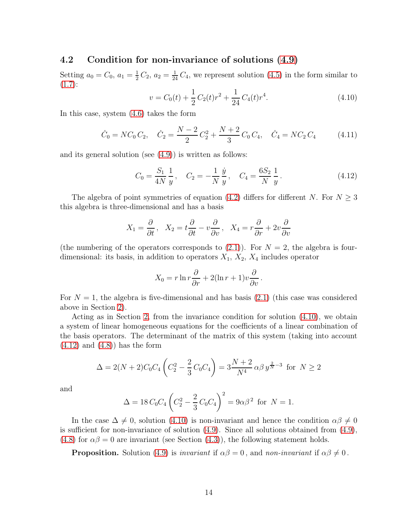#### 4.2 Condition for non-invariance of solutions [\(4.9\)](#page-12-4)

Setting  $a_0 = C_0$ ,  $a_1 = \frac{1}{2}$  $\frac{1}{2}C_2$ ,  $a_2 = \frac{1}{24}C_4$ , we represent solution [\(4.5\)](#page-12-1) in the form similar to  $(1.7):$  $(1.7):$ 

<span id="page-13-0"></span>
$$
v = C_0(t) + \frac{1}{2}C_2(t)r^2 + \frac{1}{24}C_4(t)r^4.
$$
\n(4.10)

In this case, system [\(4.6\)](#page-12-0) takes the form

<span id="page-13-2"></span>
$$
\dot{C}_0 = NC_0 C_2, \quad \dot{C}_2 = \frac{N-2}{2} C_2^2 + \frac{N+2}{3} C_0 C_4, \quad \dot{C}_4 = NC_2 C_4 \tag{4.11}
$$

and its general solution (see [\(4.9\)](#page-12-4)) is written as follows:

<span id="page-13-1"></span>
$$
C_0 = \frac{S_1}{4N} \frac{1}{y}, \quad C_2 = -\frac{1}{N} \frac{\dot{y}}{y}, \quad C_4 = \frac{6S_2}{N} \frac{1}{y}. \tag{4.12}
$$

The algebra of point symmetries of equation [\(4.2\)](#page-11-2) differs for different N. For  $N \geq 3$ this algebra is three-dimensional and has a basis

$$
X_1 = \frac{\partial}{\partial t}, \quad X_2 = t\frac{\partial}{\partial t} - v\frac{\partial}{\partial v}, \quad X_4 = r\frac{\partial}{\partial r} + 2v\frac{\partial}{\partial v}
$$

(the numbering of the operators corresponds to  $(2.1)$ ). For  $N = 2$ , the algebra is fourdimensional: its basis, in addition to operators  $X_1$ ,  $X_2$ ,  $X_4$  includes operator

$$
X_0 = r \ln r \frac{\partial}{\partial r} + 2(\ln r + 1)v \frac{\partial}{\partial v}.
$$

For  $N = 1$ , the algebra is five-dimensional and has basis [\(2.1\)](#page-4-4) (this case was considered above in Section [2\)](#page-4-0).

Acting as in Section [2,](#page-4-0) from the invariance condition for solution [\(4.10\)](#page-13-0), we obtain a system of linear homogeneous equations for the coefficients of a linear combination of the basis operators. The determinant of the matrix of this system (taking into account  $(4.12)$  and  $(4.8)$  has the form

$$
\Delta = 2(N+2)C_0C_4\left(C_2^2 - \frac{2}{3}C_0C_4\right) = 3\frac{N+2}{N^4}\alpha\beta y^{\frac{2}{N}-3} \text{ for } N \ge 2
$$

and

$$
\Delta = 18 C_0 C_4 \left( C_2^2 - \frac{2}{3} C_0 C_4 \right)^2 = 9\alpha \beta^2 \text{ for } N = 1.
$$

In the case  $\Delta \neq 0$ , solution [\(4.10\)](#page-13-0) is non-invariant and hence the condition  $\alpha\beta \neq 0$ is sufficient for non-invariance of solution  $(4.9)$ . Since all solutions obtained from  $(4.9)$ , [\(4.8\)](#page-12-3) for  $\alpha\beta = 0$  are invariant (see Section [\(4.3\)](#page-14-0)), the following statement holds.

**Proposition.** Solution [\(4.9\)](#page-12-4) is *invariant* if  $\alpha\beta = 0$ , and *non-invariant* if  $\alpha\beta \neq 0$ .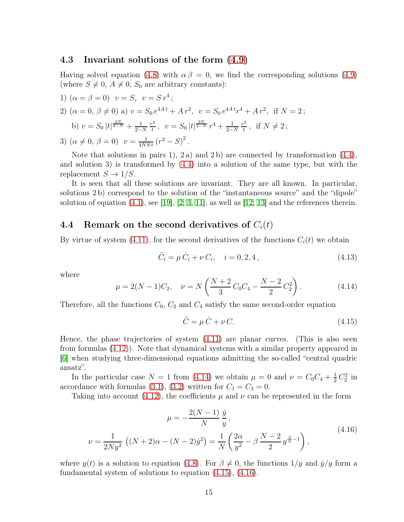#### <span id="page-14-0"></span>4.3 Invariant solutions of the form [\(4.9\)](#page-12-4)

Having solved equation [\(4.8\)](#page-12-3) with  $\alpha \beta = 0$ , we find the corresponding solutions [\(4.9\)](#page-12-4) (where  $S \neq 0$ ,  $A \neq 0$ ,  $S_0$  are arbitrary constants):

1) 
$$
(\alpha = \beta = 0)
$$
  $v = S$ ,  $v = S r^4$ ;  
\n2)  $(\alpha = 0, \beta \neq 0)$  a)  $v = S_0 e^{4At} + Ar^2$ ,  $v = S_0 e^{4At} r^4 + Ar^2$ , if  $N = 2$ ;  
\nb)  $v = S_0 |t|^{\frac{2N}{2-N}} + \frac{1}{2-N} \frac{r^2}{t}$ ,  $v = S_0 |t|^{\frac{2N}{2-N}} r^4 + \frac{1}{2-N} \frac{r^2}{t}$ , if  $N \neq 2$ ;  
\n3)  $(\alpha \neq 0, \beta = 0)$   $v = \frac{1}{4NSt} (r^2 - S)^2$ .

Note that solutions in pairs 1), 2 a) and 2 b) are connected by transformation  $(4.4)$ , and solution 3) is transformed by [\(4.4\)](#page-11-4) into a solution of the same type, but with the replacement  $S \to 1/S$ .

It is seen that all these solutions are invariant. They are all known. In particular, solutions 2 b) correspond to the solution of the "instantaneous source" and the "dipole" solution of equation  $(4.1)$ , see [\[19\]](#page-25-10), [\[2,](#page-24-2) [3,](#page-24-3) [11\]](#page-25-11), as well as [\[12,](#page-25-1) [13\]](#page-25-2) and the references therein.

#### 4.4 Remark on the second derivatives of  $C_i(t)$

By virtue of system [\(4.11\)](#page-13-2), for the second derivatives of the functions  $C_i(t)$  we obtain

$$
\ddot{C}_i = \mu \, \dot{C}_i + \nu \, C_i, \quad i = 0, 2, 4 \,, \tag{4.13}
$$

where

<span id="page-14-1"></span>
$$
\mu = 2(N - 1)C_2, \quad \nu = N\left(\frac{N + 2}{3}C_0C_4 - \frac{N - 2}{2}C_2^2\right). \tag{4.14}
$$

Therefore, all the functions  $C_0$ ,  $C_2$  and  $C_4$  satisfy the same second-order equation

<span id="page-14-2"></span>
$$
\ddot{C} = \mu \dot{C} + \nu C. \tag{4.15}
$$

Hence, the phase trajectories of system [\(4.11\)](#page-13-2) are planar curves. (This is also seen from formulas [\(4.12\)](#page-13-1)). Note that dynamical systems with a similar property appeared in [\[6\]](#page-25-12) when studying three-dimensional equations admitting the so-called "central quadric ansatz".

In the particular case  $N = 1$  from [\(4.14\)](#page-14-1) we obtain  $\mu = 0$  and  $\nu = C_0 C_4 + \frac{1}{2} C_2^2$  in accordance with formulas [\(3.1\)](#page-5-2), [\(3.2\)](#page-5-1) written for  $C_1 = C_3 = 0$ .

Taking into account [\(4.12\)](#page-13-1), the coefficients  $\mu$  and  $\nu$  can be represented in the form

<span id="page-14-3"></span>
$$
\mu = -\frac{2(N-1)}{N} \frac{\dot{y}}{y},
$$
  

$$
\nu = \frac{1}{2Ny^2} \left( (N+2)\alpha - (N-2)\dot{y}^2 \right) = \frac{1}{N} \left( \frac{2\alpha}{y^2} - \beta \frac{N-2}{2} y^{\frac{2}{N}-1} \right),
$$
\n(4.16)

where  $y(t)$  is a solution to equation [\(4.8\)](#page-12-3). For  $\beta \neq 0$ , the functions  $1/y$  and  $\dot{y}/y$  form a fundamental system of solutions to equation [\(4.15\)](#page-14-2), [\(4.16\)](#page-14-3).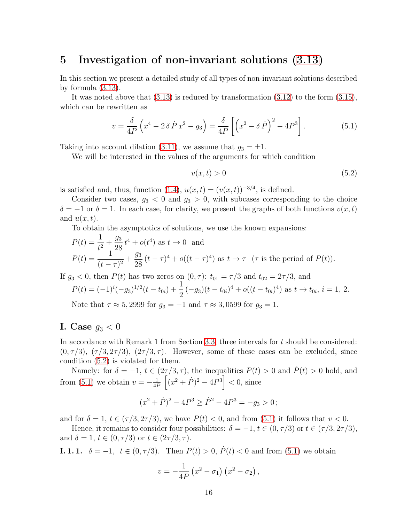### <span id="page-15-0"></span>5 Investigation of non-invariant solutions [\(3.13\)](#page-9-1)

In this section we present a detailed study of all types of non-invariant solutions described by formula [\(3.13\)](#page-9-1).

It was noted above that  $(3.13)$  is reduced by transformation  $(3.12)$  to the form  $(3.15)$ , which can be rewritten as

<span id="page-15-2"></span>
$$
v = \frac{\delta}{4P} \left( x^4 - 2 \delta \dot{P} x^2 - g_3 \right) = \frac{\delta}{4P} \left[ \left( x^2 - \delta \dot{P} \right)^2 - 4P^3 \right]. \tag{5.1}
$$

Taking into account dilation [\(3.11\)](#page-8-2), we assume that  $g_3 = \pm 1$ .

We will be interested in the values of the arguments for which condition

<span id="page-15-1"></span>
$$
v(x,t) > 0\tag{5.2}
$$

is satisfied and, thus, function [\(1.4\)](#page-1-5),  $u(x,t) = (v(x,t))^{-3/4}$ , is defined.

Consider two cases,  $g_3 < 0$  and  $g_3 > 0$ , with subcases corresponding to the choice  $\delta = -1$  or  $\delta = 1$ . In each case, for clarity, we present the graphs of both functions  $v(x, t)$ and  $u(x, t)$ .

To obtain the asymptotics of solutions, we use the known expansions:

$$
P(t) = \frac{1}{t^2} + \frac{g_3}{28}t^4 + o(t^4) \text{ as } t \to 0 \text{ and}
$$
  
\n
$$
P(t) = \frac{1}{(t - \tau)^2} + \frac{g_3}{28}(t - \tau)^4 + o((t - \tau)^4) \text{ as } t \to \tau \text{ (} \tau \text{ is the period of } P(t) \text{).}
$$

If  $g_3 < 0$ , then  $P(t)$  has two zeros on  $(0, \tau)$ :  $t_{01} = \tau/3$  and  $t_{02} = 2\tau/3$ , and

$$
P(t) = (-1)^{i}(-g_3)^{1/2}(t - t_{0i}) + \frac{1}{2}(-g_3)(t - t_{0i})^4 + o((t - t_{0i})^4)
$$
 as  $t \to t_{0i}$ ,  $i = 1, 2$ .  
Note that  $\tau \approx 5,2999$  for  $g_3 = -1$  and  $\tau \approx 3,0599$  for  $g_3 = 1$ .

#### I. Case  $g_3 < 0$

In accordance with Remark 1 from Section [3.3,](#page-6-1) three intervals for t should be considered:  $(0, \tau/3), (\tau/3, 2\tau/3), (2\tau/3, \tau)$ . However, some of these cases can be excluded, since condition [\(5.2\)](#page-15-1) is violated for them.

Namely: for  $\delta = -1$ ,  $t \in (2\tau/3, \tau)$ , the inequalities  $P(t) > 0$  and  $\dot{P}(t) > 0$  hold, and from [\(5.1\)](#page-15-2) we obtain  $v = -\frac{1}{4R}$ 4P  $\left[ (x^2 + P)^2 - 4P^3 \right] < 0$ , since

$$
(x^2 + \dot{P})^2 - 4P^3 \ge \dot{P}^2 - 4P^3 = -g_3 > 0
$$
;

and for  $\delta = 1$ ,  $t \in (\tau/3, 2\tau/3)$ , we have  $P(t) < 0$ , and from [\(5.1\)](#page-15-2) it follows that  $v < 0$ .

Hence, it remains to consider four possibilities:  $\delta = -1, t \in (0, \tau/3)$  or  $t \in (\tau/3, 2\tau/3)$ , and  $\delta = 1, t \in (0, \tau/3)$  or  $t \in (2\tau/3, \tau)$ .

**I. 1. 1.**  $\delta = -1, t \in (0, \tau/3)$ . Then  $P(t) > 0, P(t) < 0$  and from [\(5.1\)](#page-15-2) we obtain

$$
v = -\frac{1}{4P} \left( x^2 - \sigma_1 \right) \left( x^2 - \sigma_2 \right),
$$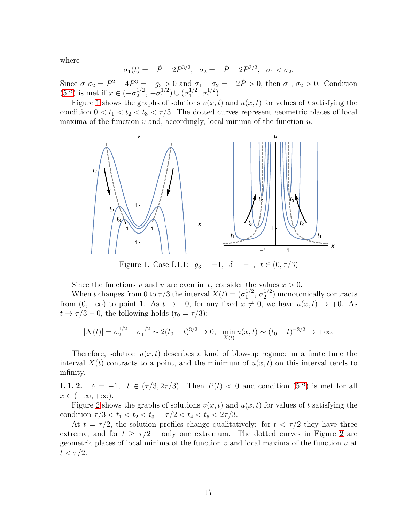where

$$
\sigma_1(t) = -\dot{P} - 2P^{3/2}, \quad \sigma_2 = -\dot{P} + 2P^{3/2}, \quad \sigma_1 < \sigma_2.
$$

Since  $\sigma_1 \sigma_2 = \dot{P}^2 - 4P^3 = -g_3 > 0$  and  $\sigma_1 + \sigma_2 = -2\dot{P} > 0$ , then  $\sigma_1, \sigma_2 > 0$ . Condition  $(5.2)$  is met if  $x \in (-\sigma_2^{1/2})$  $\frac{1}{2}$ ,  $-\sigma_1^{1/2}$  $\binom{1/2}{1}$   $\cup$   $\binom{\sigma^{1/2}}{1}$  $\frac{1/2}{1}, \frac{\sigma_2^{1/2}}{2}$  $\binom{1}{2}$ .

<span id="page-16-0"></span>Figure [1](#page-16-0) shows the graphs of solutions  $v(x, t)$  and  $u(x, t)$  for values of t satisfying the condition  $0 < t_1 < t_2 < t_3 < \tau/3$ . The dotted curves represent geometric places of local maxima of the function  $v$  and, accordingly, local minima of the function  $u$ .



Figure 1. Case I.1.1:  $g_3 = -1, \delta = -1, t \in (0, \tau/3)$ 

Since the functions v and u are even in x, consider the values  $x > 0$ .

When t changes from 0 to  $\tau/3$  the interval  $X(t) = (\sigma_1^{1/2})$  $\frac{1/2}{1}, \frac{\sigma_2^{1/2}}{2}$  $\binom{1}{2}$  monotonically contracts from  $(0, +\infty)$  to point 1. As  $t \to +0$ , for any fixed  $x \neq 0$ , we have  $u(x, t) \to +0$ . As  $t \to \tau/3 - 0$ , the following holds  $(t_0 = \tau/3)$ :

$$
|X(t)| = \sigma_2^{1/2} - \sigma_1^{1/2} \sim 2(t_0 - t)^{3/2} \to 0, \quad \min_{X(t)} u(x, t) \sim (t_0 - t)^{-3/2} \to +\infty,
$$

Therefore, solution  $u(x, t)$  describes a kind of blow-up regime: in a finite time the interval  $X(t)$  contracts to a point, and the minimum of  $u(x, t)$  on this interval tends to infinity.

**I. 1. 2.**  $\delta = -1$ ,  $t \in (\tau/3, 2\tau/3)$ . Then  $P(t) < 0$  and condition [\(5.2\)](#page-15-1) is met for all  $x \in (-\infty, +\infty).$ 

Figure [2](#page-17-0) shows the graphs of solutions  $v(x, t)$  and  $u(x, t)$  for values of t satisfying the condition  $\tau/3 < t_1 < t_2 < t_3 = \tau/2 < t_4 < t_5 < 2\tau/3$ .

At  $t = \tau/2$ , the solution profiles change qualitatively: for  $t < \tau/2$  they have three extrema, and for  $t \geq \tau/2$  – only one extremum. The dotted curves in Figure [2](#page-17-0) are geometric places of local minima of the function  $v$  and local maxima of the function  $u$  at  $t < \tau/2$ .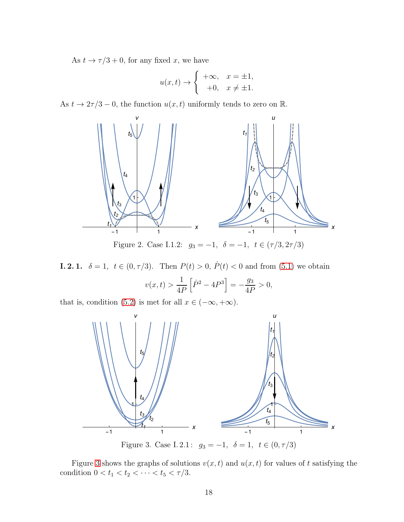As  $t \to \tau/3 + 0$ , for any fixed x, we have

$$
u(x,t) \to \begin{cases} +\infty, & x = \pm 1, \\ -0, & x \neq \pm 1. \end{cases}
$$

<span id="page-17-0"></span>As  $t \to 2\tau/3 - 0$ , the function  $u(x, t)$  uniformly tends to zero on  $\mathbb{R}$ .



Figure 2. Case I.1.2:  $g_3 = -1, \delta = -1, t \in (\tau/3, 2\tau/3)$ 

**I. 2. 1.**  $\delta = 1, t \in (0, \tau/3)$ . Then  $P(t) > 0, P(t) < 0$  and from [\(5.1\)](#page-15-2) we obtain  $v(x,t) >$ 1 4P  $\left[ \dot{P}^{2}-4P^{3}\right] =-% \frac{1}{2}P^{3} \left[ \dot{P}^{2}-4P^{3}\right] =-% \frac{1}{2}P^{3} \left[ \dot{P}^{2}-4P^{3}\right] =$  $\overline{g_3}$ 4P  $> 0,$ 

<span id="page-17-1"></span>that is, condition [\(5.2\)](#page-15-1) is met for all  $x \in (-\infty, +\infty)$ .



Figure 3. Case I. 2.1:  $g_3 = -1, \delta = 1, t \in (0, \tau/3)$ 

Figure [3](#page-17-1) shows the graphs of solutions  $v(x, t)$  and  $u(x, t)$  for values of t satisfying the condition  $0 < t_1 < t_2 < \cdots < t_5 < \tau/3$ .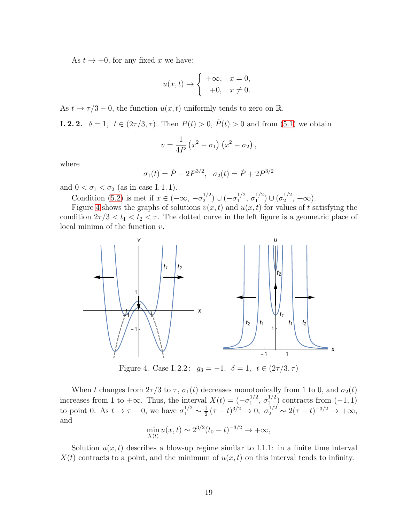As  $t \to +0$ , for any fixed x we have:

$$
u(x,t) \to \begin{cases} +\infty, & x = 0, \\ -0, & x \neq 0. \end{cases}
$$

As  $t \to \tau/3 - 0$ , the function  $u(x, t)$  uniformly tends to zero on R.

**I. 2. 2.**  $\delta = 1, t \in (2\tau/3, \tau)$ . Then  $P(t) > 0, P(t) > 0$  and from [\(5.1\)](#page-15-2) we obtain

$$
v = \frac{1}{4P} (x^2 - \sigma_1) (x^2 - \sigma_2),
$$

where

$$
\sigma_1(t) = \dot{P} - 2P^{3/2}, \quad \sigma_2(t) = \dot{P} + 2P^{3/2}
$$

and  $0 < \sigma_1 < \sigma_2$  (as in case I.1.1).

Condition [\(5.2\)](#page-15-1) is met if  $x \in (-\infty, -\sigma_2^{1/2})$  $\binom{1/2}{2}$   $\cup$   $\left(-\sigma_1^{1/2}\right)$  $\frac{1}{2}$ ,  $\sigma_1^{1/2}$  $\binom{1/2}{1}$   $\cup$   $\left(\sigma_2^{1/2}\right)$  $\frac{1}{2}$ ,  $+\infty$ ).

<span id="page-18-0"></span>Figure [4](#page-18-0) shows the graphs of solutions  $v(x, t)$  and  $u(x, t)$  for values of t satisfying the condition  $2\tau/3 < t_1 < t_2 < \tau$ . The dotted curve in the left figure is a geometric place of local minima of the function  $v$ .



Figure 4. Case I. 2.2:  $g_3 = -1, \delta = 1, t \in (2\tau/3, \tau)$ 

When t changes from  $2\tau/3$  to  $\tau$ ,  $\sigma_1(t)$  decreases monotonically from 1 to 0, and  $\sigma_2(t)$ increases from 1 to  $+\infty$ . Thus, the interval  $X(t) = (-\sigma_1^{1/2})$  $\frac{1/2}{1}, \frac{\sigma_1^{1/2}}{1}$  $\binom{1}{1}$  contracts from  $(-1,1)$ to point 0. As  $t \to \tau - 0$ , we have  $\sigma_1^{1/2} \sim \frac{1}{2}$  $\frac{1}{2}(\tau - t)^{3/2} \to 0$ ,  $\sigma_2^{1/2} \sim 2(\tau - t)^{-3/2} \to +\infty$ , and

$$
\min_{X(t)} u(x,t) \sim 2^{3/2} (t_0 - t)^{-3/2} \to +\infty,
$$

Solution  $u(x, t)$  describes a blow-up regime similar to I.1.1: in a finite time interval  $X(t)$  contracts to a point, and the minimum of  $u(x, t)$  on this interval tends to infinity.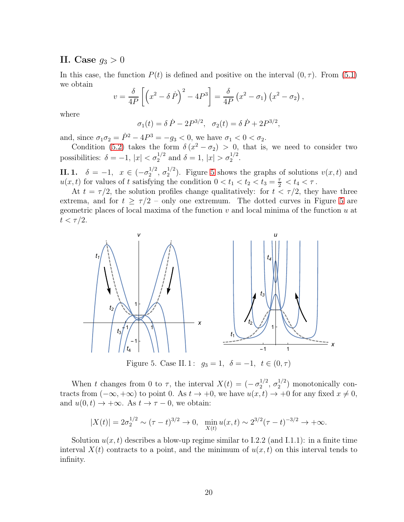#### II. Case  $g_3 > 0$

In this case, the function  $P(t)$  is defined and positive on the interval  $(0, \tau)$ . From [\(5.1\)](#page-15-2) we obtain

$$
v = \frac{\delta}{4P} \left[ \left( x^2 - \delta \dot{P} \right)^2 - 4P^3 \right] = \frac{\delta}{4P} \left( x^2 - \sigma_1 \right) \left( x^2 - \sigma_2 \right),
$$

where

$$
\sigma_1(t) = \delta \dot{P} - 2P^{3/2}, \quad \sigma_2(t) = \delta \dot{P} + 2P^{3/2},
$$

and, since  $\sigma_1 \sigma_2 = \dot{P}^2 - 4P^3 = -g_3 < 0$ , we have  $\sigma_1 < 0 < \sigma_2$ .

Condition [\(5.2\)](#page-15-1) takes the form  $\delta(x^2 - \sigma_2) > 0$ , that is, we need to consider two possibilities:  $\delta = -1$ ,  $|x| < \sigma_2^{1/2}$  and  $\delta = 1$ ,  $|x| > \sigma_2^{1/2}$ .

**II. 1.**  $\delta = -1, x \in (-\sigma_2^{1/2})$  $\frac{1}{2}$ ,  $\sigma_2^{1/2}$  $2^{1/2}$ ). Figure [5](#page-19-0) shows the graphs of solutions  $v(x, t)$  and  $u(x, t)$  for values of t satisfying the condition  $0 < t_1 < t_2 < t_3 = \frac{\tau}{2} < t_4 < \tau$ .

At  $t = \tau/2$ , the solution profiles change qualitatively: for  $t < \tau/2$ , they have three extrema, and for  $t \geq \tau/2$  – only one extremum. The dotted curves in Figure [5](#page-19-0) are geometric places of local maxima of the function  $v$  and local minima of the function  $u$  at  $t < \tau/2$ .

<span id="page-19-0"></span>

Figure 5. Case II. 1:  $g_3 = 1, \delta = -1, t \in (0, \tau)$ 

When t changes from 0 to  $\tau$ , the interval  $X(t) = \left(-\frac{\sigma_2^{1/2}}{2}\right)^n$  $\frac{1}{2}$ ,  $\sigma_2^{1/2}$  $2^{1/2}$ ) monotonically contracts from  $(-\infty, +\infty)$  to point 0. As  $t \to +0$ , we have  $u(x, t) \to +0$  for any fixed  $x \neq 0$ , and  $u(0, t) \rightarrow +\infty$ . As  $t \rightarrow \tau - 0$ , we obtain:

$$
|X(t)| = 2\sigma_2^{1/2} \sim (\tau - t)^{3/2} \to 0, \quad \min_{X(t)} u(x, t) \sim 2^{3/2} (\tau - t)^{-3/2} \to +\infty.
$$

Solution  $u(x, t)$  describes a blow-up regime similar to I.2.2 (and I.1.1): in a finite time interval  $X(t)$  contracts to a point, and the minimum of  $u(x, t)$  on this interval tends to infinity.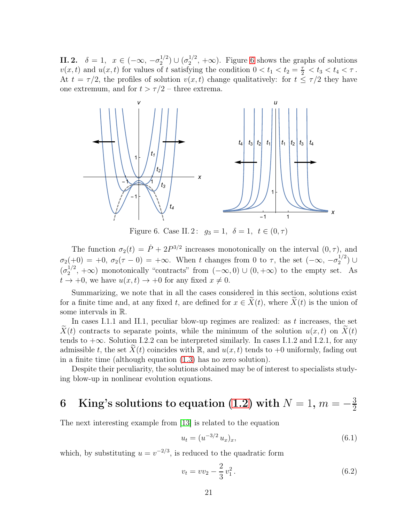**II. 2.**  $\delta = 1, x \in (-\infty, -\sigma_2^{1/2})$  $\binom{1/2}{2} \cup (\sigma_2^{1/2})$  $2^{1/2}$ ,  $+\infty$ ). Figure [6](#page-20-1) shows the graphs of solutions  $v(x, t)$  and  $u(x, t)$  for values of t satisfying the condition  $0 < t_1 < t_2 = \frac{\tau}{2} < t_3 < t_4 < \tau$ . At  $t = \tau/2$ , the profiles of solution  $v(x, t)$  change qualitatively: for  $t \leq \tau/2$  they have one extremum, and for  $t > \tau/2$  – three extrema.

<span id="page-20-1"></span>

Figure 6. Case II. 2:  $g_3 = 1, \delta = 1, t \in (0, \tau)$ 

The function  $\sigma_2(t) = \dot{P} + 2P^{3/2}$  increases monotonically on the interval  $(0, \tau)$ , and  $\sigma_2(+0) = +0, \ \sigma_2(\tau - 0) = +\infty.$  When t changes from 0 to  $\tau$ , the set  $(-\infty, -\sigma_2^{1/2})$  $\binom{1}{2}$  ∪  $(\sigma_2^{1/2}$  $2^{1/2}$ ,  $+\infty$ ) monotonically "contracts" from  $(-\infty,0) \cup (0,+\infty)$  to the empty set. As  $t \to +0$ , we have  $u(x, t) \to +0$  for any fixed  $x \neq 0$ .

Summarizing, we note that in all the cases considered in this section, solutions exist for a finite time and, at any fixed t, are defined for  $x \in X(t)$ , where  $X(t)$  is the union of some intervals in R.

In cases I.1.1 and II.1, peculiar blow-up regimes are realized: as t increases, the set  $X(t)$  contracts to separate points, while the minimum of the solution  $u(x, t)$  on  $X(t)$ tends to  $+\infty$ . Solution I.2.2 can be interpreted similarly. In cases I.1.2 and I.2.1, for any admissible t, the set  $X(t)$  coincides with R, and  $u(x, t)$  tends to +0 uniformly, fading out in a finite time (although equation [\(1.3\)](#page-1-0) has no zero solution).

Despite their peculiarity, the solutions obtained may be of interest to specialists studying blow-up in nonlinear evolution equations.

#### <span id="page-20-0"></span>6 King's solutions to equation [\(1.2\)](#page-1-4) with  $N=1$ ,  $m=-\frac{3}{2}$ 2

The next interesting example from [\[13\]](#page-25-2) is related to the equation

<span id="page-20-3"></span>
$$
u_t = (u^{-3/2} u_x)_x,\t\t(6.1)
$$

which, by substituting  $u = v^{-2/3}$ , is reduced to the quadratic form

<span id="page-20-2"></span>
$$
v_t = v v_2 - \frac{2}{3} v_1^2. \tag{6.2}
$$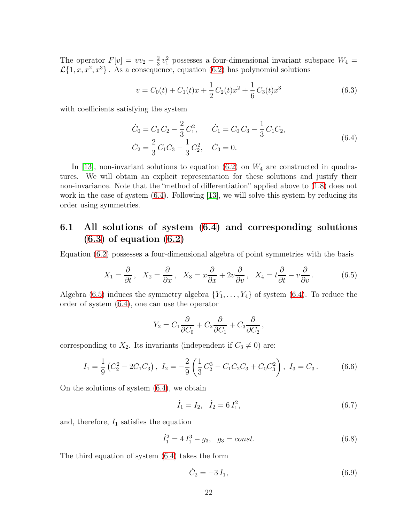The operator  $F[v] = vv_2 - \frac{2}{3}$  $\frac{2}{3}v_1^2$  possesses a four-dimensional invariant subspace  $W_4$  =  $\mathcal{L}{1, x, x^2, x^3}$ . As a consequence, equation [\(6.2\)](#page-20-2) has polynomial solutions

<span id="page-21-1"></span>
$$
v = C_0(t) + C_1(t)x + \frac{1}{2}C_2(t)x^2 + \frac{1}{6}C_3(t)x^3
$$
\n(6.3)

with coefficients satisfying the system

<span id="page-21-0"></span>
$$
\dot{C}_0 = C_0 C_2 - \frac{2}{3} C_1^2, \qquad \dot{C}_1 = C_0 C_3 - \frac{1}{3} C_1 C_2, \n\dot{C}_2 = \frac{2}{3} C_1 C_3 - \frac{1}{3} C_2^2, \quad \dot{C}_3 = 0.
$$
\n(6.4)

In [\[13\]](#page-25-2), non-invariant solutions to equation  $(6.2)$  on  $W_4$  are constructed in quadratures. We will obtain an explicit representation for these solutions and justify their non-invariance. Note that the "method of differentiation" applied above to [\(1.8\)](#page-1-2) does not work in the case of system [\(6.4\)](#page-21-0). Following [\[13\]](#page-25-2), we will solve this system by reducing its order using symmetries.

## 6.1 All solutions of system [\(6.4\)](#page-21-0) and corresponding solutions  $(6.3)$  of equation  $(6.2)$

Equation [\(6.2\)](#page-20-2) possesses a four-dimensional algebra of point symmetries with the basis

<span id="page-21-2"></span>
$$
X_1 = \frac{\partial}{\partial t}, \quad X_2 = \frac{\partial}{\partial x}, \quad X_3 = x\frac{\partial}{\partial x} + 2v\frac{\partial}{\partial v}, \quad X_4 = t\frac{\partial}{\partial t} - v\frac{\partial}{\partial v}.
$$
 (6.5)

Algebra [\(6.5\)](#page-21-2) induces the symmetry algebra  $\{Y_1, \ldots, Y_4\}$  of system [\(6.4\)](#page-21-0). To reduce the order of system [\(6.4\)](#page-21-0), one can use the operator

$$
Y_2 = C_1 \frac{\partial}{\partial C_0} + C_2 \frac{\partial}{\partial C_1} + C_3 \frac{\partial}{\partial C_2},
$$

corresponding to  $X_2$ . Its invariants (independent if  $C_3 \neq 0$ ) are:

<span id="page-21-3"></span>
$$
I_1 = \frac{1}{9} \left( C_2^2 - 2C_1 C_3 \right), \ I_2 = -\frac{2}{9} \left( \frac{1}{3} C_2^3 - C_1 C_2 C_3 + C_0 C_3^2 \right), \ I_3 = C_3. \tag{6.6}
$$

On the solutions of system [\(6.4\)](#page-21-0), we obtain

<span id="page-21-5"></span>
$$
\dot{I}_1 = I_2, \quad \dot{I}_2 = 6 I_1^2,\tag{6.7}
$$

and, therefore,  $I_1$  satisfies the equation

<span id="page-21-4"></span>
$$
\dot{I}_1^2 = 4 I_1^3 - g_3, \quad g_3 = const.
$$
\n(6.8)

The third equation of system [\(6.4\)](#page-21-0) takes the form

<span id="page-21-6"></span>
$$
\dot{C}_2 = -3I_1,\t\t(6.9)
$$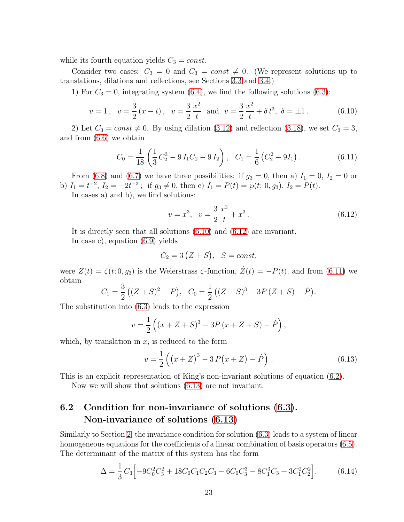while its fourth equation yields  $C_3 = const.$ 

Consider two cases:  $C_3 = 0$  and  $C_3 = const \neq 0$ . (We represent solutions up to translations, dilations and reflections, see Sections [3.3](#page-6-1) and [3.4.](#page-10-0))

1) For  $C_3 = 0$ , integrating system [\(6.4\)](#page-21-0), we find the following solutions [\(6.3\)](#page-21-1):

<span id="page-22-0"></span>
$$
v = 1
$$
,  $v = \frac{3}{2}(x - t)$ ,  $v = \frac{3}{2}\frac{x^2}{t}$  and  $v = \frac{3}{2}\frac{x^2}{t} + \delta t^3$ ,  $\delta = \pm 1$ . (6.10)

2) Let  $C_3 = const \neq 0$ . By using dilation [\(3.12\)](#page-9-0) and reflection [\(3.18\)](#page-10-2), we set  $C_3 = 3$ , and from [\(6.6\)](#page-21-3) we obtain

<span id="page-22-2"></span>
$$
C_0 = \frac{1}{18} \left( \frac{1}{3} C_2^3 - 9 I_1 C_2 - 9 I_2 \right), \quad C_1 = \frac{1}{6} \left( C_2^2 - 9 I_1 \right). \tag{6.11}
$$

From [\(6.8\)](#page-21-4) and [\(6.7\)](#page-21-5) we have three possibilities: if  $g_3 = 0$ , then a)  $I_1 = 0$ ,  $I_2 = 0$  or b)  $I_1 = t^{-2}$ ,  $I_2 = -2t^{-3}$ ; if  $g_3 \neq 0$ , then c)  $I_1 = P(t) = \wp(t; 0, g_3)$ ,  $I_2 = P(t)$ .

In cases a) and b), we find solutions:

<span id="page-22-1"></span>
$$
v = x^3, \quad v = \frac{3}{2} \frac{x^2}{t} + x^3. \tag{6.12}
$$

It is directly seen that all solutions [\(6.10\)](#page-22-0) and [\(6.12\)](#page-22-1) are invariant.

In case c), equation [\(6.9\)](#page-21-6) yields

$$
C_2 = 3(Z + S), \quad S = const,
$$

were  $Z(t) = \zeta(t; 0, g_3)$  is the Weierstrass  $\zeta$ -function,  $\dot{Z}(t) = -P(t)$ , and from [\(6.11\)](#page-22-2) we obtain

$$
C_1 = \frac{3}{2} ((Z + S)^2 - P), \quad C_0 = \frac{1}{2} ((Z + S)^3 - 3P(Z + S) - P).
$$

The substitution into [\(6.3\)](#page-21-1) leads to the expression

$$
v = \frac{1}{2} \left( (x + Z + S)^3 - 3P (x + Z + S) - \dot{P} \right),
$$

which, by translation in  $x$ , is reduced to the form

<span id="page-22-3"></span>
$$
v = \frac{1}{2} \left( \left( x + Z \right)^3 - 3 P \left( x + Z \right) - \dot{P} \right) . \tag{6.13}
$$

This is an explicit representation of King's non-invariant solutions of equation [\(6.2\)](#page-20-2).

Now we will show that solutions [\(6.13\)](#page-22-3) are not invariant.

## 6.2 Condition for non-invariance of solutions [\(6.3\)](#page-21-1). Non-invariance of solutions [\(6.13\)](#page-22-3)

Similarly to Section [2,](#page-4-0) the invariance condition for solution [\(6.3\)](#page-21-1) leads to a system of linear homogeneous equations for the coefficients of a linear combination of basis operators  $(6.5)$ . The determinant of the matrix of this system has the form

<span id="page-22-4"></span>
$$
\Delta = \frac{1}{3} C_3 \left[ -9C_0^2 C_3^2 + 18C_0 C_1 C_2 C_3 - 6C_0 C_3^3 - 8C_1^3 C_3 + 3C_1^2 C_2^2 \right].
$$
 (6.14)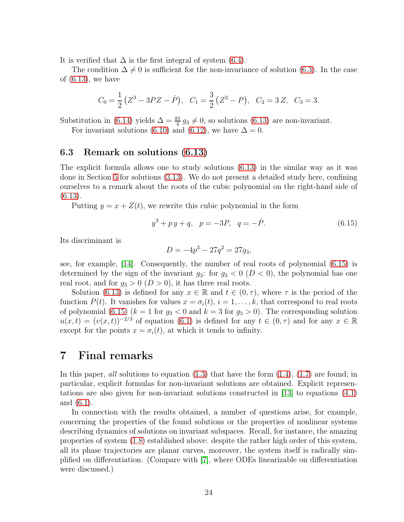It is verified that  $\Delta$  is the first integral of system [\(6.4\)](#page-21-0).

The condition  $\Delta \neq 0$  is sufficient for the non-invariance of solution [\(6.3\)](#page-21-1). In the case of  $(6.13)$ , we have

$$
C_0 = \frac{1}{2}(Z^3 - 3PZ - \dot{P}), \quad C_1 = \frac{3}{2}(Z^2 - P), \quad C_2 = 3Z, \quad C_3 = 3.
$$

Substitution in [\(6.14\)](#page-22-4) yields  $\Delta = \frac{81}{4} g_3 \neq 0$ , so solutions [\(6.13\)](#page-22-3) are non-invariant.

For invariant solutions [\(6.10\)](#page-22-0) and [\(6.12\)](#page-22-1), we have  $\Delta = 0$ .

#### 6.3 Remark on solutions [\(6.13\)](#page-22-3)

The explicit formula allows one to study solutions [\(6.13\)](#page-22-3) in the similar way as it was done in Section [5](#page-15-0) for solutions [\(3.13\)](#page-9-1). We do not present a detailed study here, confining ourselves to a remark about the roots of the cubic polynomial on the right-hand side of [\(6.13\)](#page-22-3).

Putting  $y = x + Z(t)$ , we rewrite this cubic polynomial in the form

<span id="page-23-0"></span>
$$
y^3 + py + q, \quad p = -3P, \quad q = -\dot{P}.
$$
\n(6.15)

Its discriminant is

$$
D = -4p^3 - 27q^2 = 27g_3,
$$

see, for example, [\[14\]](#page-25-13). Consequently, the number of real roots of polynomial [\(6.15\)](#page-23-0) is determined by the sign of the invariant  $g_3$ : for  $g_3 < 0$  ( $D < 0$ ), the polynomial has one real root, and for  $g_3 > 0$   $(D > 0)$ , it has three real roots.

Solution [\(6.13\)](#page-22-3) is defined for any  $x \in \mathbb{R}$  and  $t \in (0, \tau)$ , where  $\tau$  is the period of the function  $P(t)$ . It vanishes for values  $x = \sigma_i(t)$ ,  $i = 1, ..., k$ , that correspond to real roots of polynomial [\(6.15\)](#page-23-0) ( $k = 1$  for  $g_3 < 0$  and  $k = 3$  for  $g_3 > 0$ ). The corresponding solution  $u(x,t) = (v(x,t))^{-2/3}$  of equation [\(6.1\)](#page-20-3) is defined for any  $t \in (0, \tau)$  and for any  $x \in \mathbb{R}$ except for the points  $x = \sigma_i(t)$ , at which it tends to infinity.

## 7 Final remarks

In this paper, all solutions to equation  $(1.3)$  that have the form  $(1.4)$ ,  $(1.7)$  are found; in particular, explicit formulas for non-invariant solutions are obtained. Explicit representations are also given for non-invariant solutions constructed in [\[13\]](#page-25-2) to equations [\(4.1\)](#page-11-1) and [\(6.1\)](#page-20-3).

In connection with the results obtained, a number of questions arise, for example, concerning the properties of the found solutions or the properties of nonlinear systems describing dynamics of solutions on invariant subspaces. Recall, for instance, the amazing properties of system [\(1.8\)](#page-1-2) established above: despite the rather high order of this system, all its phase trajectories are planar curves, moreover, the system itself is radically simplified on differentiation. (Compare with [\[7\]](#page-25-14), where ODEs linearizable on differentiation were discussed.)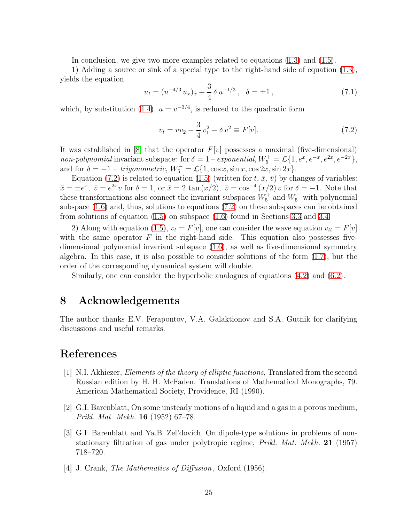In conclusion, we give two more examples related to equations [\(1.3\)](#page-1-0) and [\(1.5\)](#page-1-1).

1) Adding a source or sink of a special type to the right-hand side of equation [\(1.3\)](#page-1-0), yields the equation

$$
u_t = (u^{-4/3} u_x)_x + \frac{3}{4} \delta u^{-1/3}, \quad \delta = \pm 1, \tag{7.1}
$$

which, by substitution [\(1.4\)](#page-1-5),  $u = v^{-3/4}$ , is reduced to the quadratic form

<span id="page-24-4"></span>
$$
v_t = v v_2 - \frac{3}{4} v_1^2 - \delta v^2 \equiv F[v]. \tag{7.2}
$$

It was established in [\[8\]](#page-25-3) that the operator  $F[v]$  possesses a maximal (five-dimensional) non-polynomial invariant subspace: for  $\delta = 1$  – exponential,  $W_5^+ = \mathcal{L}{1, e^x, e^{-x}, e^{2x}, e^{-2x}}$ , and for  $\delta = -1$  – trigonometric,  $W_5^- = \mathcal{L}{1, \cos x, \sin x, \cos 2x, \sin 2x}.$ 

Equation [\(7.2\)](#page-24-4) is related to equation [\(1.5\)](#page-1-1) (written for t,  $\bar{x}$ ,  $\bar{v}$ ) by changes of variables:  $\bar{x} = \pm e^x$ ,  $\bar{v} = e^{2x}v$  for  $\delta = 1$ , or  $\bar{x} = 2 \tan(x/2)$ ,  $\bar{v} = \cos^{-4}(x/2)v$  for  $\delta = -1$ . Note that these transformations also connect the invariant subspaces  $W_5^+$  and  $W_5^-$  with polynomial subspace [\(1.6\)](#page-1-6) and, thus, solutions to equations [\(7.2\)](#page-24-4) on these subspaces can be obtained from solutions of equation [\(1.5\)](#page-1-1) on subspace [\(1.6\)](#page-1-6) found in Sections [3.3](#page-6-1) and [3.4.](#page-10-0)

2) Along with equation [\(1.5\)](#page-1-1),  $v_t = F[v]$ , one can consider the wave equation  $v_{tt} = F[v]$ with the same operator  $F$  in the right-hand side. This equation also possesses fivedimensional polynomial invariant subspace [\(1.6\)](#page-1-6), as well as five-dimensional symmetry algebra. In this case, it is also possible to consider solutions of the form [\(1.7\)](#page-1-3), but the order of the corresponding dynamical system will double.

Similarly, one can consider the hyperbolic analogues of equations [\(4.2\)](#page-11-2) and [\(6.2\)](#page-20-2).

## 8 Acknowledgements

The author thanks E.V. Ferapontov, V.A. Galaktionov and S.A. Gutnik for clarifying discussions and useful remarks.

## <span id="page-24-1"></span>References

- [1] N.I. Akhiezer, Elements of the theory of elliptic functions, Translated from the second Russian edition by H. H. McFaden. Translations of Mathematical Monographs, 79. American Mathematical Society, Providence, RI (1990).
- <span id="page-24-2"></span>[2] G.I. Barenblatt, On some unsteady motions of a liquid and a gas in a porous medium, Prikl. Mat. Mekh. 16 (1952) 67–78.
- <span id="page-24-3"></span>[3] G.I. Barenblatt and Ya.B. Zel'dovich, On dipole-type solutions in problems of nonstationary filtration of gas under polytropic regime, Prikl. Mat. Mekh. 21 (1957) 718–720.
- <span id="page-24-0"></span>[4] J. Crank, *The Mathematics of Diffusion*, Oxford (1956).